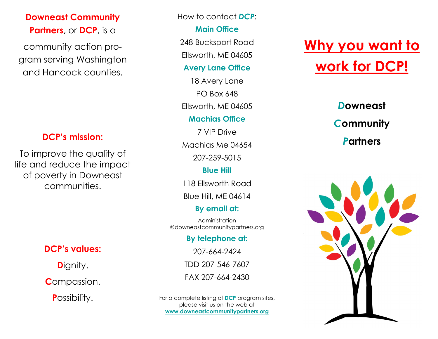## **Downeast Community Partners**, or **DCP**, is a

community action program serving Washington and Hancock counties.

#### **DCP's mission:**

To improve the quality of life and reduce the impact of poverty in Downeast communities.

## **DCP's values:**

**D**ignity.

**C**ompassion.

**P**ossibility.

How to contact *DCP*:

#### **Main Office**

248 Bucksport Road

Ellsworth, ME 04605

#### **Avery Lane Office**

18 Avery Lane PO Box 648 Ellsworth, ME 04605

#### **Machias Office**

7 VIP Drive Machias Me 04654 207-259-5015

#### **Blue Hill**

118 Ellsworth Road

Blue Hill, ME 04614

## **By email at:**

Administration @downeastcommunitypartners.org

#### **By telephone at:**

207-664-2424

TDD 207-546-7607

FAX 207-664-2430

For a complete listing of **DCP** program sites, please visit us on the web at **www.downeastcommunitypartners.org**

# **Why you want to work for DCP!**

# *D***owneast**  *C***ommunity**  *P***artners**